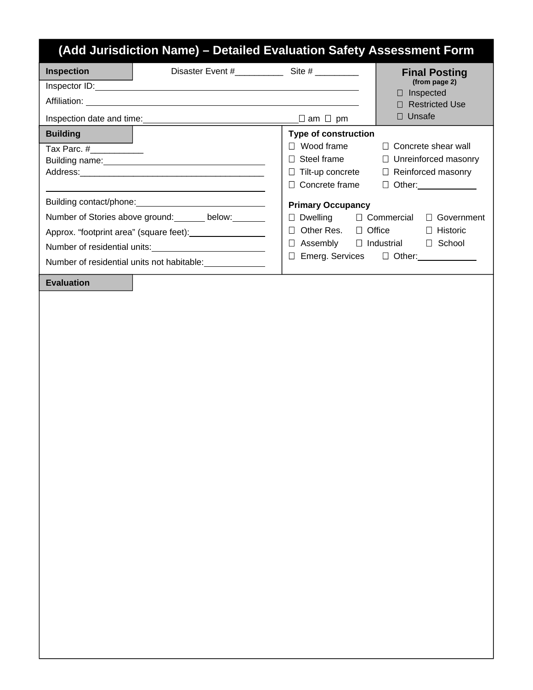## **(Add Jurisdiction Name) – Detailed Evaluation Safety Assessment Form** Disaster Event #\_\_\_\_\_\_\_\_\_\_ Site # \_\_\_\_\_\_\_\_\_ Inspector ID: Affiliation: Inspection date and time:  $\qquad \qquad \qquad \qquad \qquad \qquad \qquad \qquad \Box \text{ am } \Box \text{ pm}$ **Final Posting (from page 2)** Inspected Restricted Use  Unsafe  **Building**  Tax Parc. #\_\_\_\_\_\_\_\_\_\_\_ Building name: Address: Building contact/phone: Number of Stories above ground: \_\_\_\_\_\_ below: \_\_\_\_\_\_ Approx. "footprint area" (square feet): Number of residential units: Number of residential units not habitable: **Type of construction**   $\Box$  Wood frame  $\Box$  Concrete shear wall  $\Box$  Steel frame  $\Box$  Unreinforced masonry  $\Box$  Tilt-up concrete  $\Box$  Reinforced masonry Concrete frame Other: **Primary Occupancy**   $\Box$  Dwelling  $\Box$  Commercial  $\Box$  Government □ Other Res. □ Office □ Historic Assembly Industrial School Emerg. Services Other: **Inspection Evaluation**